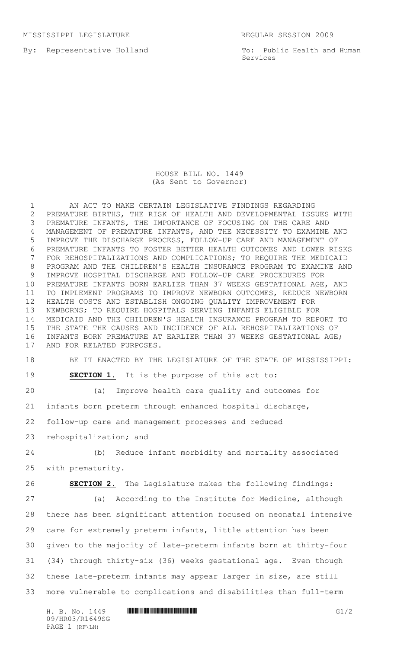MISSISSIPPI LEGISLATURE REGULAR SESSION 2009

By: Representative Holland

To: Public Health and Human Services

## HOUSE BILL NO. 1449 (As Sent to Governor)

1 AN ACT TO MAKE CERTAIN LEGISLATIVE FINDINGS REGARDING PREMATURE BIRTHS, THE RISK OF HEALTH AND DEVELOPMENTAL ISSUES WITH PREMATURE INFANTS, THE IMPORTANCE OF FOCUSING ON THE CARE AND MANAGEMENT OF PREMATURE INFANTS, AND THE NECESSITY TO EXAMINE AND IMPROVE THE DISCHARGE PROCESS, FOLLOW-UP CARE AND MANAGEMENT OF PREMATURE INFANTS TO FOSTER BETTER HEALTH OUTCOMES AND LOWER RISKS FOR REHOSPITALIZATIONS AND COMPLICATIONS; TO REQUIRE THE MEDICAID PROGRAM AND THE CHILDREN'S HEALTH INSURANCE PROGRAM TO EXAMINE AND IMPROVE HOSPITAL DISCHARGE AND FOLLOW-UP CARE PROCEDURES FOR PREMATURE INFANTS BORN EARLIER THAN 37 WEEKS GESTATIONAL AGE, AND TO IMPLEMENT PROGRAMS TO IMPROVE NEWBORN OUTCOMES, REDUCE NEWBORN HEALTH COSTS AND ESTABLISH ONGOING QUALITY IMPROVEMENT FOR NEWBORNS; TO REQUIRE HOSPITALS SERVING INFANTS ELIGIBLE FOR MEDICAID AND THE CHILDREN'S HEALTH INSURANCE PROGRAM TO REPORT TO THE STATE THE CAUSES AND INCIDENCE OF ALL REHOSPITALIZATIONS OF INFANTS BORN PREMATURE AT EARLIER THAN 37 WEEKS GESTATIONAL AGE; AND FOR RELATED PURPOSES. BE IT ENACTED BY THE LEGISLATURE OF THE STATE OF MISSISSIPPI:

**SECTION 1.** It is the purpose of this act to:

(a) Improve health care quality and outcomes for

infants born preterm through enhanced hospital discharge,

follow-up care and management processes and reduced

rehospitalization; and

 (b) Reduce infant morbidity and mortality associated with prematurity.

**SECTION 2.** The Legislature makes the following findings:

 (a) According to the Institute for Medicine, although there has been significant attention focused on neonatal intensive care for extremely preterm infants, little attention has been given to the majority of late-preterm infants born at thirty-four (34) through thirty-six (36) weeks gestational age. Even though these late-preterm infants may appear larger in size, are still more vulnerable to complications and disabilities than full-term

 $H. B. NO. 1449$  HROSHROMAGE GEV2 09/HR03/R1649SG PAGE 1 (RF\LH)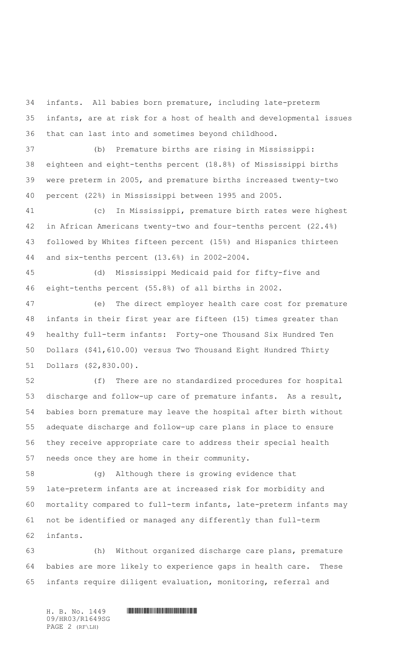infants. All babies born premature, including late-preterm infants, are at risk for a host of health and developmental issues that can last into and sometimes beyond childhood.

 (b) Premature births are rising in Mississippi: eighteen and eight-tenths percent (18.8%) of Mississippi births were preterm in 2005, and premature births increased twenty-two percent (22%) in Mississippi between 1995 and 2005.

 (c) In Mississippi, premature birth rates were highest in African Americans twenty-two and four-tenths percent (22.4%) followed by Whites fifteen percent (15%) and Hispanics thirteen and six-tenths percent (13.6%) in 2002-2004.

 (d) Mississippi Medicaid paid for fifty-five and eight-tenths percent (55.8%) of all births in 2002.

 (e) The direct employer health care cost for premature infants in their first year are fifteen (15) times greater than healthy full-term infants: Forty-one Thousand Six Hundred Ten Dollars (\$41,610.00) versus Two Thousand Eight Hundred Thirty Dollars (\$2,830.00).

 (f) There are no standardized procedures for hospital discharge and follow-up care of premature infants. As a result, babies born premature may leave the hospital after birth without adequate discharge and follow-up care plans in place to ensure they receive appropriate care to address their special health needs once they are home in their community.

 (g) Although there is growing evidence that late-preterm infants are at increased risk for morbidity and mortality compared to full-term infants, late-preterm infants may not be identified or managed any differently than full-term infants.

 (h) Without organized discharge care plans, premature babies are more likely to experience gaps in health care. These infants require diligent evaluation, monitoring, referral and

H. B. No. 1449 \*HR03/R1649SG\* 09/HR03/R1649SG PAGE 2 (RF\LH)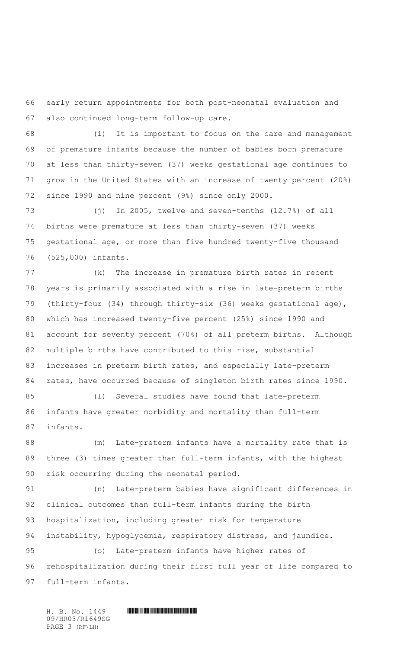early return appointments for both post-neonatal evaluation and also continued long-term follow-up care.

 (i) It is important to focus on the care and management of premature infants because the number of babies born premature at less than thirty-seven (37) weeks gestational age continues to grow in the United States with an increase of twenty percent (20%) since 1990 and nine percent (9%) since only 2000.

 (j) In 2005, twelve and seven-tenths (12.7%) of all births were premature at less than thirty-seven (37) weeks gestational age, or more than five hundred twenty-five thousand (525,000) infants.

 (k) The increase in premature birth rates in recent years is primarily associated with a rise in late-preterm births (thirty-four (34) through thirty-six (36) weeks gestational age), which has increased twenty-five percent (25%) since 1990 and account for seventy percent (70%) of all preterm births. Although multiple births have contributed to this rise, substantial increases in preterm birth rates, and especially late-preterm rates, have occurred because of singleton birth rates since 1990.

 (l) Several studies have found that late-preterm infants have greater morbidity and mortality than full-term infants.

 (m) Late-preterm infants have a mortality rate that is three (3) times greater than full-term infants, with the highest risk occurring during the neonatal period.

 (n) Late-preterm babies have significant differences in clinical outcomes than full-term infants during the birth hospitalization, including greater risk for temperature instability, hypoglycemia, respiratory distress, and jaundice. (o) Late-preterm infants have higher rates of rehospitalization during their first full year of life compared to full-term infants.

H. B. No. 1449 \*HR03/R1649SG\* 09/HR03/R1649SG PAGE 3 (RF\LH)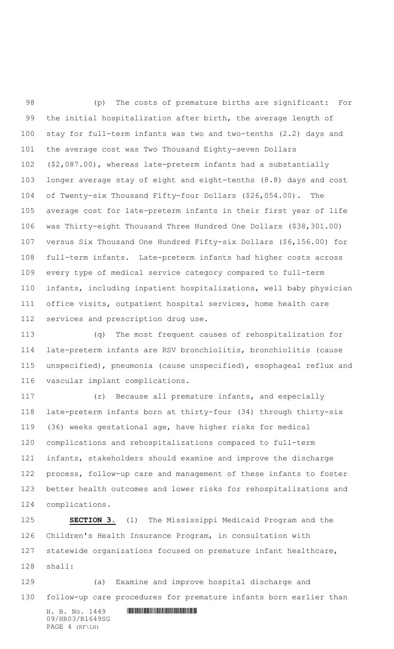(p) The costs of premature births are significant: For the initial hospitalization after birth, the average length of stay for full-term infants was two and two-tenths (2.2) days and the average cost was Two Thousand Eighty-seven Dollars (\$2,087.00), whereas late-preterm infants had a substantially longer average stay of eight and eight-tenths (8.8) days and cost of Twenty-six Thousand Fifty-four Dollars (\$26,054.00). The average cost for late-preterm infants in their first year of life was Thirty-eight Thousand Three Hundred One Dollars (\$38,301.00) versus Six Thousand One Hundred Fifty-six Dollars (\$6,156.00) for full-term infants. Late-preterm infants had higher costs across every type of medical service category compared to full-term infants, including inpatient hospitalizations, well baby physician office visits, outpatient hospital services, home health care services and prescription drug use.

 (q) The most frequent causes of rehospitalization for late-preterm infants are RSV bronchiolitis, bronchiolitis (cause unspecified), pneumonia (cause unspecified), esophageal reflux and vascular implant complications.

 (r) Because all premature infants, and especially late-preterm infants born at thirty-four (34) through thirty-six (36) weeks gestational age, have higher risks for medical complications and rehospitalizations compared to full-term infants, stakeholders should examine and improve the discharge process, follow-up care and management of these infants to foster better health outcomes and lower risks for rehospitalizations and complications.

 **SECTION 3.** (1) The Mississippi Medicaid Program and the Children's Health Insurance Program, in consultation with statewide organizations focused on premature infant healthcare, shall:

 $H. B. No. 1449$  HR03/R1649 **EDG**\* (a) Examine and improve hospital discharge and follow-up care procedures for premature infants born earlier than

09/HR03/R1649SG PAGE 4 (RF\LH)